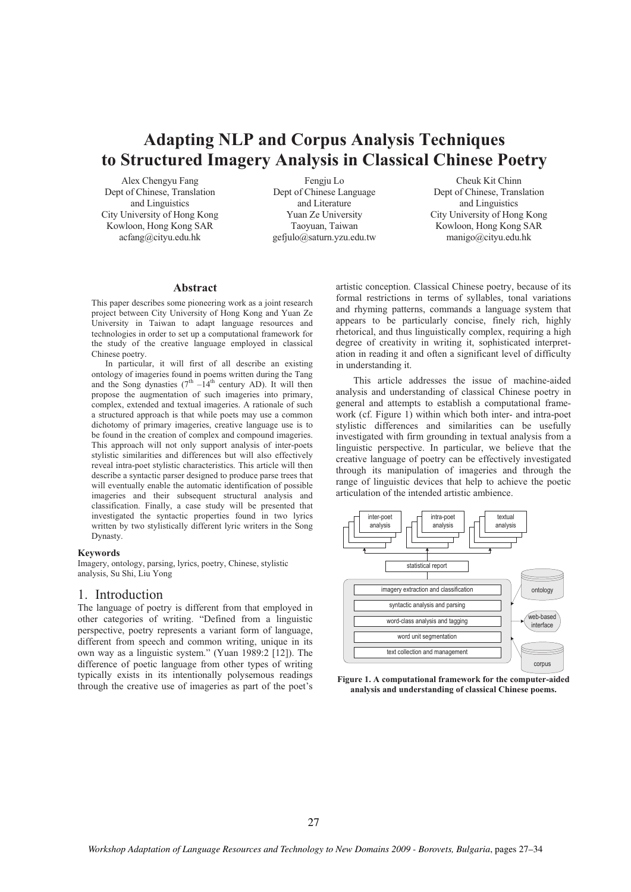# **Adapting NLP and Corpus Analysis Techniques to Structured Imagery Analysis in Classical Chinese Poetry**

Alex Chengyu Fang Dept of Chinese, Translation and Linguistics City University of Hong Kong Kowloon, Hong Kong SAR acfang@cityu.edu.hk

Fengju Lo Dept of Chinese Language and Literature Yuan Ze University Taoyuan, Taiwan gefjulo@saturn.yzu.edu.tw

Cheuk Kit Chinn Dept of Chinese, Translation and Linguistics City University of Hong Kong Kowloon, Hong Kong SAR manigo@cityu.edu.hk

#### **Abstract**

This paper describes some pioneering work as a joint research project between City University of Hong Kong and Yuan Ze University in Taiwan to adapt language resources and technologies in order to set up a computational framework for the study of the creative language employed in classical Chinese poetry.

In particular, it will first of all describe an existing ontology of imageries found in poems written during the Tang and the Song dynasties  $(7<sup>th</sup> -14<sup>th</sup>$  century AD). It will then propose the augmentation of such imageries into primary, complex, extended and textual imageries. A rationale of such a structured approach is that while poets may use a common dichotomy of primary imageries, creative language use is to be found in the creation of complex and compound imageries. This approach will not only support analysis of inter-poets stylistic similarities and differences but will also effectively reveal intra-poet stylistic characteristics. This article will then describe a syntactic parser designed to produce parse trees that will eventually enable the automatic identification of possible imageries and their subsequent structural analysis and classification. Finally, a case study will be presented that investigated the syntactic properties found in two lyrics written by two stylistically different lyric writers in the Song Dynasty.

#### **Keywords**

Imagery, ontology, parsing, lyrics, poetry, Chinese, stylistic analysis, Su Shi, Liu Yong

#### 1. Introduction

The language of poetry is different from that employed in other categories of writing. "Defined from a linguistic perspective, poetry represents a variant form of language, different from speech and common writing, unique in its own way as a linguistic system." (Yuan 1989:2 [12]). The difference of poetic language from other types of writing typically exists in its intentionally polysemous readings through the creative use of imageries as part of the poet's

artistic conception. Classical Chinese poetry, because of its formal restrictions in terms of syllables, tonal variations and rhyming patterns, commands a language system that appears to be particularly concise, finely rich, highly rhetorical, and thus linguistically complex, requiring a high degree of creativity in writing it, sophisticated interpretation in reading it and often a significant level of difficulty in understanding it.

This article addresses the issue of machine-aided analysis and understanding of classical Chinese poetry in general and attempts to establish a computational framework (cf. Figure 1) within which both inter- and intra-poet stylistic differences and similarities can be usefully investigated with firm grounding in textual analysis from a linguistic perspective. In particular, we believe that the creative language of poetry can be effectively investigated through its manipulation of imageries and through the range of linguistic devices that help to achieve the poetic articulation of the intended artistic ambience.



**Figure 1. A computational framework for the computer-aided analysis and understanding of classical Chinese poems.**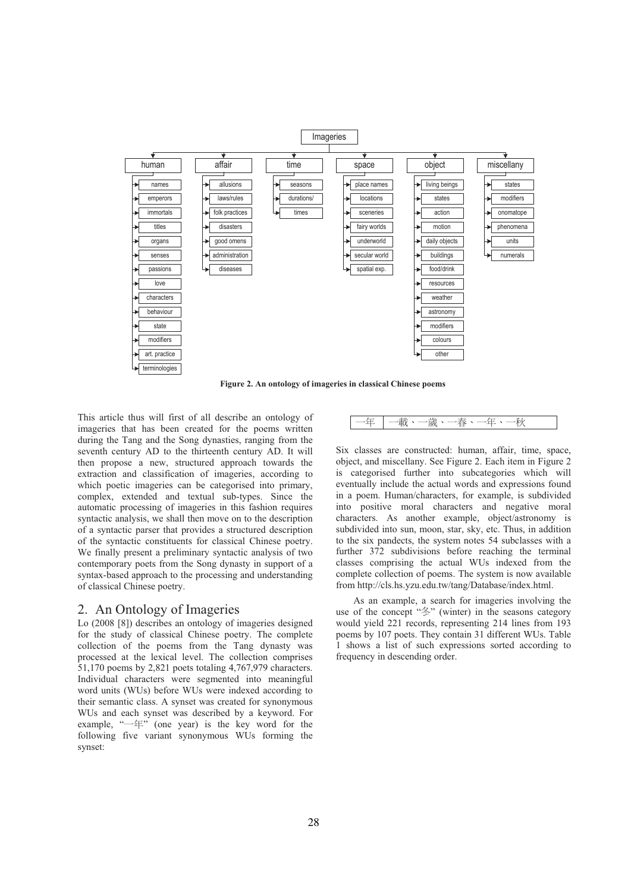

**Figure 2. An ontology of imageries in classical Chinese poems**

This article thus will first of all describe an ontology of imageries that has been created for the poems written during the Tang and the Song dynasties, ranging from the seventh century AD to the thirteenth century AD. It will then propose a new, structured approach towards the extraction and classification of imageries, according to which poetic imageries can be categorised into primary, complex, extended and textual sub-types. Since the automatic processing of imageries in this fashion requires syntactic analysis, we shall then move on to the description of a syntactic parser that provides a structured description of the syntactic constituents for classical Chinese poetry. We finally present a preliminary syntactic analysis of two contemporary poets from the Song dynasty in support of a syntax-based approach to the processing and understanding of classical Chinese poetry.

### 2. An Ontology of Imageries

Lo (2008 [8]) describes an ontology of imageries designed for the study of classical Chinese poetry. The complete collection of the poems from the Tang dynasty was processed at the lexical level. The collection comprises 51,170 poems by 2,821 poets totaling 4,767,979 characters. Individual characters were segmented into meaningful word units (WUs) before WUs were indexed according to their semantic class. A synset was created for synonymous WUs and each synset was described by a keyword. For example, " $-\text{f}$ " (one year) is the key word for the following five variant synonymous WUs forming the synset:

ԫڣԫ ሉΕԫᄣΕԫਞΕԫڣΕԫટ

Six classes are constructed: human, affair, time, space, object, and miscellany. See Figure 2. Each item in Figure 2 is categorised further into subcategories which will eventually include the actual words and expressions found in a poem. Human/characters, for example, is subdivided into positive moral characters and negative moral characters. As another example, object/astronomy is subdivided into sun, moon, star, sky, etc. Thus, in addition to the six pandects, the system notes 54 subclasses with a further 372 subdivisions before reaching the terminal classes comprising the actual WUs indexed from the complete collection of poems. The system is now available from http://cls.hs.yzu.edu.tw/tang/Database/index.html.

As an example, a search for imageries involving the use of the concept "冬" (winter) in the seasons category would yield 221 records, representing 214 lines from 193 poems by 107 poets. They contain 31 different WUs. Table 1 shows a list of such expressions sorted according to frequency in descending order.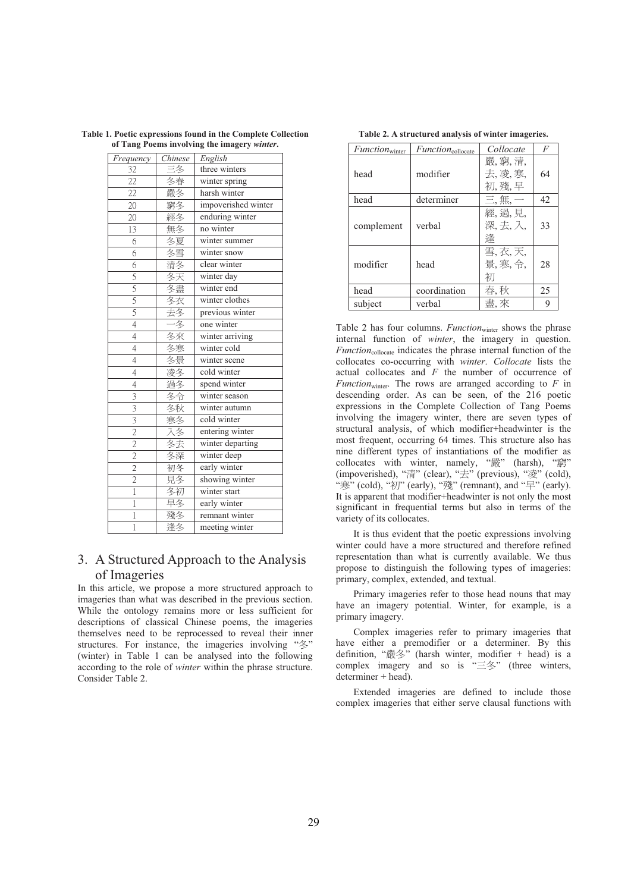| Frequency                 | Chinese  | English             |  |
|---------------------------|----------|---------------------|--|
| 32                        | 三夂       | three winters       |  |
| $\overline{22}$           | 冬春       | winter spring       |  |
| $\overline{22}$           | 嚴冬       | harsh winter        |  |
| 20                        | 窮冬       | impoverished winter |  |
| $\overline{2}0$           | 經冬       | enduring winter     |  |
| 13                        | 無冬       | no winter           |  |
| 6                         | 冬夏       | winter summer       |  |
| $\overline{6}$            | 冬雪       | winter snow         |  |
| $\overline{6}$            | 清冬       | clear winter        |  |
| $rac{5}{5}$               | 冬天       | winter day          |  |
|                           | 冬盡       | winter end          |  |
| $rac{5}{5}$               | 冬衣       | winter clothes      |  |
|                           | 去冬       | previous winter     |  |
| $\overline{4}$            | 一冬       | one winter          |  |
| $\overline{4}$            | 冬來       | winter arriving     |  |
| $\overline{4}$            | 冬寒       | winter cold         |  |
| $\overline{4}$            | 冬景       | winter scene        |  |
| $\overline{4}$            | 凌冬<br>過冬 | cold winter         |  |
| $\overline{4}$            |          | spend winter        |  |
| $\overline{\overline{3}}$ | 冬令       | winter season       |  |
| $\overline{3}$            | 冬秋       | winter autumn       |  |
| $rac{3}{2}$               | 寒冬       | cold winter         |  |
|                           | 入冬       | entering winter     |  |
| $\frac{2}{2}$             | 冬去       | winter departing    |  |
|                           | 冬深       | winter deep         |  |
|                           | 初冬       | early winter        |  |
| $\overline{c}$            | 見冬       | showing winter      |  |
| ī                         | 冬初       | winter start        |  |
| 1                         | 早冬       | early winter        |  |
| 1                         | 殘冬       | remnant winter      |  |
| 1                         | 逢冬       | meeting winter      |  |

**Table 1. Poetic expressions found in the Complete Collection of Tang Poems involving the imagery** *winter***.**

## 3. A Structured Approach to the Analysis of Imageries

In this article, we propose a more structured approach to imageries than what was described in the previous section. While the ontology remains more or less sufficient for descriptions of classical Chinese poems, the imageries themselves need to be reprocessed to reveal their inner structures. For instance, the imageries involving " $\&$ " (winter) in Table 1 can be analysed into the following according to the role of *winter* within the phrase structure. Consider Table 2.

| $Function_{\text{winter}}$ | Function <sub>collocate</sub> | Collocate                 | F  |
|----------------------------|-------------------------------|---------------------------|----|
| head                       | modifier                      | 嚴,窮,清,<br>去,凌,寒,<br>初,殘,早 | 64 |
| head                       | determiner                    | 三. 無.                     | 42 |
| complement                 | verbal                        | 經, 過, 見,<br>深,去,入,<br>逢   | 33 |
| modifier                   | head                          | 雪,衣,天,<br>景,寒,令,<br>初     | 28 |
| head                       | coordination                  | 春,秋                       | 25 |
| subject                    | verbal                        | 盡,來                       | 9  |

**Table 2. A structured analysis of winter imageries.** 

Table 2 has four columns. *Function*<sub>winter</sub> shows the phrase internal function of *winter*, the imagery in question. *Function*<sub>collocate</sub> indicates the phrase internal function of the collocates co-occurring with *winter*. *Collocate* lists the actual collocates and *F* the number of occurrence of *Function*<sub>winter</sub>. The rows are arranged according to  $F$  in descending order. As can be seen, of the 216 poetic expressions in the Complete Collection of Tang Poems involving the imagery winter, there are seven types of structural analysis, of which modifier+headwinter is the most frequent, occurring 64 times. This structure also has nine different types of instantiations of the modifier as collocates with winter, namely, "嚴" (harsh), "窮" (impoverished), "清" (clear), "去" (previous), "凌" (cold),  $\mathbb{R}^{\infty}$  (cold), " $\overline{\mathbb{R}}$ " (early), " $\overline{\mathbb{R}}$ " (remnant), and " $\overline{\mathbb{R}}$ " (early). It is apparent that modifier+headwinter is not only the most significant in frequential terms but also in terms of the variety of its collocates.

It is thus evident that the poetic expressions involving winter could have a more structured and therefore refined representation than what is currently available. We thus propose to distinguish the following types of imageries: primary, complex, extended, and textual.

Primary imageries refer to those head nouns that may have an imagery potential. Winter, for example, is a primary imagery.

Complex imageries refer to primary imageries that have either a premodifier or a determiner. By this definition, " $\frac{3}{8}$ " (harsh winter, modifier + head) is a complex imagery and so is  $\equiv$   $\frac{4}{5}$  (three winters, determiner + head).

Extended imageries are defined to include those complex imageries that either serve clausal functions with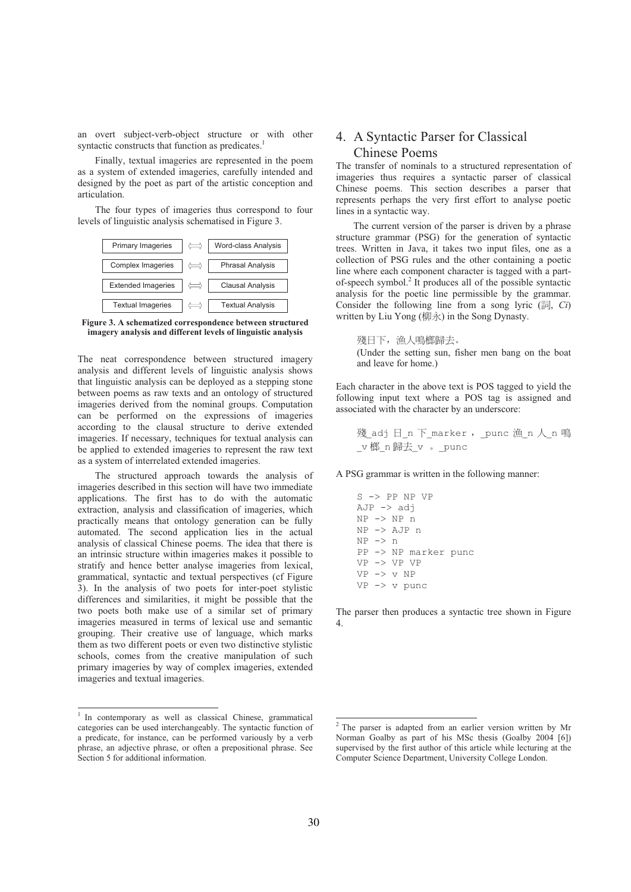an overt subject-verb-object structure or with other syntactic constructs that function as predicates.<sup>1</sup>

Finally, textual imageries are represented in the poem as a system of extended imageries, carefully intended and designed by the poet as part of the artistic conception and articulation.

The four types of imageries thus correspond to four levels of linguistic analysis schematised in Figure 3.



**Figure 3. A schematized correspondence between structured imagery analysis and different levels of linguistic analysis** 

The neat correspondence between structured imagery analysis and different levels of linguistic analysis shows that linguistic analysis can be deployed as a stepping stone between poems as raw texts and an ontology of structured imageries derived from the nominal groups. Computation can be performed on the expressions of imageries according to the clausal structure to derive extended imageries. If necessary, techniques for textual analysis can be applied to extended imageries to represent the raw text as a system of interrelated extended imageries.

The structured approach towards the analysis of imageries described in this section will have two immediate applications. The first has to do with the automatic extraction, analysis and classification of imageries, which practically means that ontology generation can be fully automated. The second application lies in the actual analysis of classical Chinese poems. The idea that there is an intrinsic structure within imageries makes it possible to stratify and hence better analyse imageries from lexical, grammatical, syntactic and textual perspectives (cf Figure 3). In the analysis of two poets for inter-poet stylistic differences and similarities, it might be possible that the two poets both make use of a similar set of primary imageries measured in terms of lexical use and semantic grouping. Their creative use of language, which marks them as two different poets or even two distinctive stylistic schools, comes from the creative manipulation of such primary imageries by way of complex imageries, extended imageries and textual imageries.

## 4. A Syntactic Parser for Classical Chinese Poems

The transfer of nominals to a structured representation of imageries thus requires a syntactic parser of classical Chinese poems. This section describes a parser that represents perhaps the very first effort to analyse poetic lines in a syntactic way.

The current version of the parser is driven by a phrase structure grammar (PSG) for the generation of syntactic trees. Written in Java, it takes two input files, one as a collection of PSG rules and the other containing a poetic line where each component character is tagged with a partof-speech symbol.<sup>2</sup> It produces all of the possible syntactic analysis for the poetic line permissible by the grammar. Consider the following line from a song lyric (詞, *Ci*) written by Liu Yong (柳永) in the Song Dynasty.

殘日下, 漁人鳴榔歸去。 (Under the setting sun, fisher men bang on the boat and leave for home.)

Each character in the above text is POS tagged to yield the following input text where a POS tag is assigned and associated with the character by an underscore:

殘 adj 日 n 下 marker, punc 漁 n 人 n 鳴 v 榔 n 歸去 v 。 \_punc

A PSG grammar is written in the following manner:

S -> PP NP VP  $AJP \rightarrow adj$ NP -> NP n NP -> AJP n  $NP \rightarrow n$ PP -> NP marker punc VP -> VP VP VP -> v NP VP -> v punc

The parser then produces a syntactic tree shown in Figure 4.

<sup>&</sup>lt;sup>1</sup> In contemporary as well as classical Chinese, grammatical categories can be used interchangeably. The syntactic function of a predicate, for instance, can be performed variously by a verb phrase, an adjective phrase, or often a prepositional phrase. See Section 5 for additional information.

<sup>&</sup>lt;sup>2</sup> The parser is adapted from an earlier version written by Mr Norman Goalby as part of his MSc thesis (Goalby 2004 [6]) supervised by the first author of this article while lecturing at the Computer Science Department, University College London.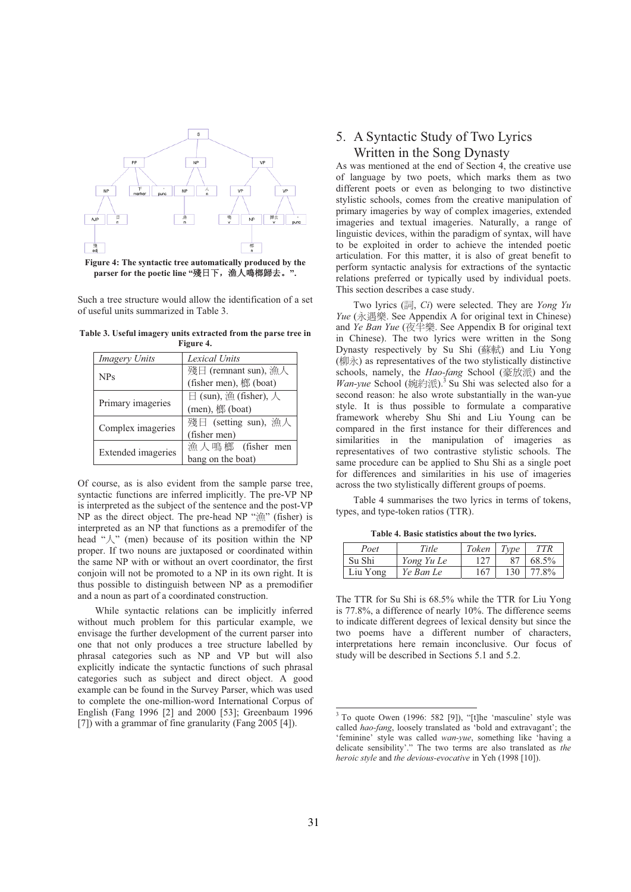

parser for the poetic line "殘日下, 漁人鳴榔歸去。".

Such a tree structure would allow the identification of a set of useful units summarized in Table 3.

**Table 3. Useful imagery units extracted from the parse tree in Figure 4.** 

| <b>Imagery Units</b> | Lexical Units                    |  |  |
|----------------------|----------------------------------|--|--|
|                      | 殘日 (remnant sun), 漁人             |  |  |
| <b>NPs</b>           | (fisher men), 榔 (boat)           |  |  |
|                      | $\boxminus$ (sun), 漁 (fisher), 人 |  |  |
| Primary imageries    | $(men),  \n#(boat)$              |  |  |
|                      | 殘日 (setting sun), 漁人             |  |  |
| Complex imageries    | (fisher men)                     |  |  |
|                      | 漁人鳴榔 (fisher men                 |  |  |
| Extended imageries   | bang on the boat)                |  |  |

Of course, as is also evident from the sample parse tree, syntactic functions are inferred implicitly. The pre-VP NP is interpreted as the subject of the sentence and the post-VP NP as the direct object. The pre-head NP " $\hat{A}$ " (fisher) is interpreted as an NP that functions as a premodifer of the head " $\lambda$ " (men) because of its position within the NP proper. If two nouns are juxtaposed or coordinated within the same NP with or without an overt coordinator, the first conjoin will not be promoted to a NP in its own right. It is thus possible to distinguish between NP as a premodifier and a noun as part of a coordinated construction.

While syntactic relations can be implicitly inferred without much problem for this particular example, we envisage the further development of the current parser into one that not only produces a tree structure labelled by phrasal categories such as NP and VP but will also explicitly indicate the syntactic functions of such phrasal categories such as subject and direct object. A good example can be found in the Survey Parser, which was used to complete the one-million-word International Corpus of English (Fang 1996 [2] and 2000 [53]; Greenbaum 1996 [7]) with a grammar of fine granularity (Fang 2005 [4]).

## 5. A Syntactic Study of Two Lyrics Written in the Song Dynasty

As was mentioned at the end of Section 4, the creative use of language by two poets, which marks them as two different poets or even as belonging to two distinctive stylistic schools, comes from the creative manipulation of primary imageries by way of complex imageries, extended imageries and textual imageries. Naturally, a range of linguistic devices, within the paradigm of syntax, will have to be exploited in order to achieve the intended poetic articulation. For this matter, it is also of great benefit to perform syntactic analysis for extractions of the syntactic relations preferred or typically used by individual poets. This section describes a case study.

Two lyrics (詞, *Ci*) were selected. They are *Yong Yu Yue* (永遇樂. See Appendix A for original text in Chinese) and *Ye Ban Yue* (夜半樂. See Appendix B for original text in Chinese). The two lyrics were written in the Song Dynasty respectively by Su Shi (蘇軾) and Liu Yong  $(\sqrt{m} \lambda)$  as representatives of the two stylistically distinctive schools, namely, the *Hao-fang* School (豪放派) and the *Wan-yue* School (婉約派).<sup>3</sup> Su Shi was selected also for a second reason: he also wrote substantially in the wan-yue style. It is thus possible to formulate a comparative framework whereby Shu Shi and Liu Young can be compared in the first instance for their differences and similarities in the manipulation of imageries as representatives of two contrastive stylistic schools. The same procedure can be applied to Shu Shi as a single poet for differences and similarities in his use of imageries across the two stylistically different groups of poems.

Table 4 summarises the two lyrics in terms of tokens, types, and type-token ratios (TTR).

**Table 4. Basic statistics about the two lyrics.** 

| Poet     | Title      | Token | Type | TTR   |
|----------|------------|-------|------|-------|
| Su Shi   | Yong Yu Le |       |      | 68.5% |
| Liu Yong | Ye Ban Le  | 167   | 130  | 77.8% |

The TTR for Su Shi is 68.5% while the TTR for Liu Yong is 77.8%, a difference of nearly 10%. The difference seems to indicate different degrees of lexical density but since the two poems have a different number of characters, interpretations here remain inconclusive. Our focus of study will be described in Sections 5.1 and 5.2.

 3 To quote Owen (1996: 582 [9]), "[t]he 'masculine' style was called *hao-fang*, loosely translated as 'bold and extravagant'; the 'feminine' style was called *wan-yue*, something like 'having a delicate sensibility'." The two terms are also translated as *the heroic style* and *the devious-evocative* in Yeh (1998 [10]).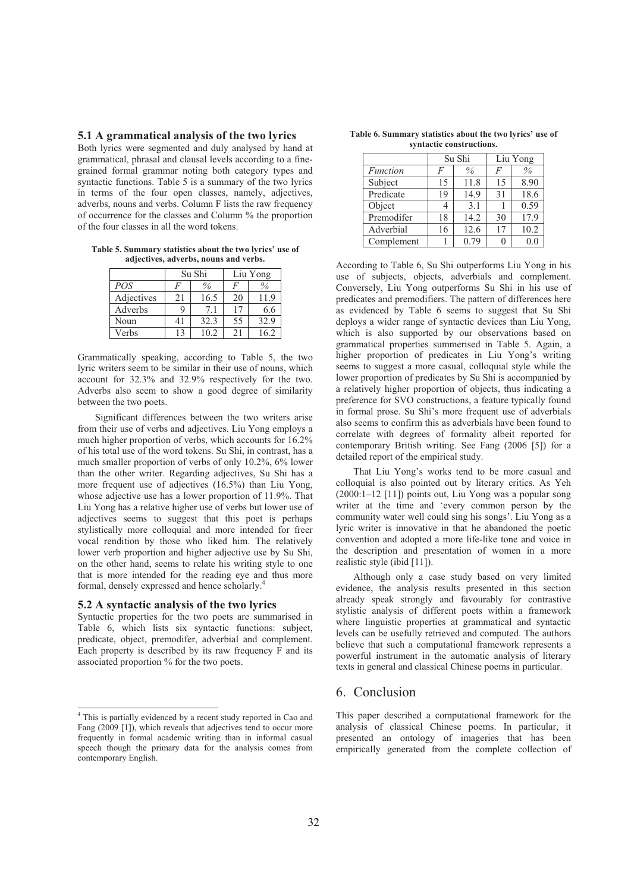#### **5.1 A grammatical analysis of the two lyrics**

Both lyrics were segmented and duly analysed by hand at grammatical, phrasal and clausal levels according to a finegrained formal grammar noting both category types and syntactic functions. Table 5 is a summary of the two lyrics in terms of the four open classes, namely, adjectives, adverbs, nouns and verbs. Column F lists the raw frequency of occurrence for the classes and Column % the proportion of the four classes in all the word tokens.

**Table 5. Summary statistics about the two lyrics' use of adjectives, adverbs, nouns and verbs.** 

|            | Su Shi |      | Liu Yong |      |
|------------|--------|------|----------|------|
| POS        | F      | $\%$ | F        |      |
| Adjectives | 21     | 16.5 | 20       | 1.9  |
| Adverbs    |        | 7.1  |          | 6.6  |
| Noun       |        | 32.3 | 55       | 32.9 |
| Verbs      |        | 10.2 | 21       | 62   |

Grammatically speaking, according to Table 5, the two lyric writers seem to be similar in their use of nouns, which account for 32.3% and 32.9% respectively for the two. Adverbs also seem to show a good degree of similarity between the two poets.

Significant differences between the two writers arise from their use of verbs and adjectives. Liu Yong employs a much higher proportion of verbs, which accounts for 16.2% of his total use of the word tokens. Su Shi, in contrast, has a much smaller proportion of verbs of only 10.2%, 6% lower than the other writer. Regarding adjectives, Su Shi has a more frequent use of adjectives (16.5%) than Liu Yong, whose adjective use has a lower proportion of 11.9%. That Liu Yong has a relative higher use of verbs but lower use of adjectives seems to suggest that this poet is perhaps stylistically more colloquial and more intended for freer vocal rendition by those who liked him. The relatively lower verb proportion and higher adjective use by Su Shi, on the other hand, seems to relate his writing style to one that is more intended for the reading eye and thus more formal, densely expressed and hence scholarly.<sup>4</sup>

#### **5.2 A syntactic analysis of the two lyrics**

Syntactic properties for the two poets are summarised in Table 6, which lists six syntactic functions: subject, predicate, object, premodifer, adverbial and complement. Each property is described by its raw frequency F and its associated proportion % for the two poets.

| Table 6. Summary statistics about the two lyrics' use of |  |
|----------------------------------------------------------|--|
| syntactic constructions.                                 |  |

|            | Su Shi |      | Liu Yong |      |
|------------|--------|------|----------|------|
| Function   | F      | $\%$ | F        | $\%$ |
| Subject    | 15     | 11.8 | 15       | 8.90 |
| Predicate  | 19     | 14.9 | 31       | 18.6 |
| Object     |        | 3.1  |          | 0.59 |
| Premodifer | 18     | 14.2 | 30       | 17.9 |
| Adverbial  | 16     | 12.6 | 17       | 10.2 |
| Complement |        | 0.79 |          | 0.f  |

According to Table 6, Su Shi outperforms Liu Yong in his use of subjects, objects, adverbials and complement. Conversely, Liu Yong outperforms Su Shi in his use of predicates and premodifiers. The pattern of differences here as evidenced by Table 6 seems to suggest that Su Shi deploys a wider range of syntactic devices than Liu Yong, which is also supported by our observations based on grammatical properties summerised in Table 5. Again, a higher proportion of predicates in Liu Yong's writing seems to suggest a more casual, colloquial style while the lower proportion of predicates by Su Shi is accompanied by a relatively higher proportion of objects, thus indicating a preference for SVO constructions, a feature typically found in formal prose. Su Shi's more frequent use of adverbials also seems to confirm this as adverbials have been found to correlate with degrees of formality albeit reported for contemporary British writing. See Fang (2006 [5]) for a detailed report of the empirical study.

That Liu Yong's works tend to be more casual and colloquial is also pointed out by literary critics. As Yeh  $(2000:1-12)$  [11]) points out. Liu Yong was a popular song writer at the time and 'every common person by the community water well could sing his songs'. Liu Yong as a lyric writer is innovative in that he abandoned the poetic convention and adopted a more life-like tone and voice in the description and presentation of women in a more realistic style (ibid [11]).

Although only a case study based on very limited evidence, the analysis results presented in this section already speak strongly and favourably for contrastive stylistic analysis of different poets within a framework where linguistic properties at grammatical and syntactic levels can be usefully retrieved and computed. The authors believe that such a computational framework represents a powerful instrument in the automatic analysis of literary texts in general and classical Chinese poems in particular.

### 6. Conclusion

This paper described a computational framework for the analysis of classical Chinese poems. In particular, it presented an ontology of imageries that has been empirically generated from the complete collection of

 4 This is partially evidenced by a recent study reported in Cao and Fang (2009 [1]), which reveals that adjectives tend to occur more frequently in formal academic writing than in informal casual speech though the primary data for the analysis comes from contemporary English.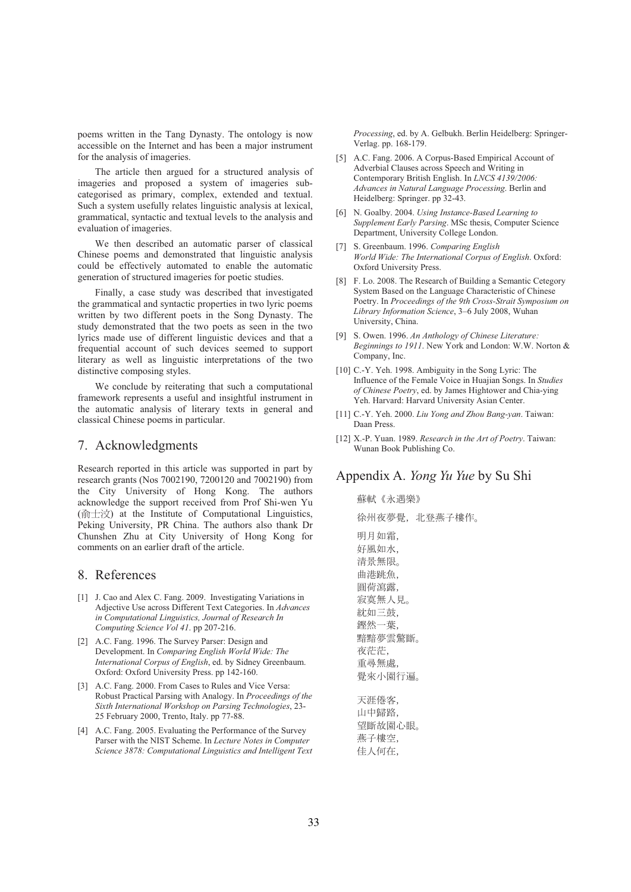poems written in the Tang Dynasty. The ontology is now accessible on the Internet and has been a major instrument for the analysis of imageries.

The article then argued for a structured analysis of imageries and proposed a system of imageries subcategorised as primary, complex, extended and textual. Such a system usefully relates linguistic analysis at lexical, grammatical, syntactic and textual levels to the analysis and evaluation of imageries.

We then described an automatic parser of classical Chinese poems and demonstrated that linguistic analysis could be effectively automated to enable the automatic generation of structured imageries for poetic studies.

Finally, a case study was described that investigated the grammatical and syntactic properties in two lyric poems written by two different poets in the Song Dynasty. The study demonstrated that the two poets as seen in the two lyrics made use of different linguistic devices and that a frequential account of such devices seemed to support literary as well as linguistic interpretations of the two distinctive composing styles.

We conclude by reiterating that such a computational framework represents a useful and insightful instrument in the automatic analysis of literary texts in general and classical Chinese poems in particular.

## 7. Acknowledgments

Research reported in this article was supported in part by research grants (Nos 7002190, 7200120 and 7002190) from the City University of Hong Kong. The authors acknowledge the support received from Prof Shi-wen Yu  $(\hat{\text{m}} \pm \hat{\text{i}} \hat{\text{c}})$  at the Institute of Computational Linguistics, Peking University, PR China. The authors also thank Dr Chunshen Zhu at City University of Hong Kong for comments on an earlier draft of the article.

### 8. References

- [1] J. Cao and Alex C. Fang. 2009. Investigating Variations in Adjective Use across Different Text Categories. In *Advances in Computational Linguistics, Journal of Research In Computing Science Vol 41*. pp 207-216.
- [2] A.C. Fang. 1996. The Survey Parser: Design and Development. In *Comparing English World Wide: The International Corpus of English*, ed. by Sidney Greenbaum. Oxford: Oxford University Press. pp 142-160.
- [3] A.C. Fang. 2000. From Cases to Rules and Vice Versa: Robust Practical Parsing with Analogy. In *Proceedings of the Sixth International Workshop on Parsing Technologies*, 23- 25 February 2000, Trento, Italy. pp 77-88.
- [4] A.C. Fang. 2005. Evaluating the Performance of the Survey Parser with the NIST Scheme. In *Lecture Notes in Computer Science 3878: Computational Linguistics and Intelligent Text*

*Processing*, ed. by A. Gelbukh. Berlin Heidelberg: Springer-Verlag. pp. 168-179.

- [5] A.C. Fang. 2006. A Corpus-Based Empirical Account of Adverbial Clauses across Speech and Writing in Contemporary British English. In *LNCS 4139/2006: Advances in Natural Language Processing*. Berlin and Heidelberg: Springer. pp 32-43.
- [6] N. Goalby. 2004. *Using Instance-Based Learning to Supplement Early Parsing*. MSc thesis, Computer Science Department, University College London.
- [7] S. Greenbaum. 1996. *Comparing English World Wide: The International Corpus of English*. Oxford: Oxford University Press.
- [8] F. Lo. 2008. The Research of Building a Semantic Cetegory System Based on the Language Characteristic of Chinese Poetry. In *Proceedings of the 9th Cross-Strait Symposium on Library Information Science*, 3–6 July 2008, Wuhan University, China.
- [9] S. Owen. 1996. *An Anthology of Chinese Literature: Beginnings to 1911*. New York and London: W.W. Norton & Company, Inc.
- [10] C.-Y. Yeh. 1998. Ambiguity in the Song Lyric: The Influence of the Female Voice in Huajian Songs. In *Studies of Chinese Poetry*, ed. by James Hightower and Chia-ying Yeh. Harvard: Harvard University Asian Center.
- [11] C.-Y. Yeh. 2000. *Liu Yong and Zhou Bang-yan*. Taiwan: Daan Press.
- [12] X.-P. Yuan. 1989. *Research in the Art of Poetry*. Taiwan: Wunan Book Publishing Co.

### Appendix A. *Yong Yu Yue* by Su Shi

蘇軾《永遇樂》

徐州夜夢覺, 北登燕子樓作。

明月如霜, 好風如水, 清景無限。 曲港跳魚, 圓荷瀉露, 寂寞無人見。 紞如三鼓, 鋼然一葉. 黯黯夢雲驚斷。 夜茫茫, 重尋無處, 覺來小園行遍。

天涯倦客, 山中歸路, 望斷故園心眼。 燕子樓空. 佳人何在,